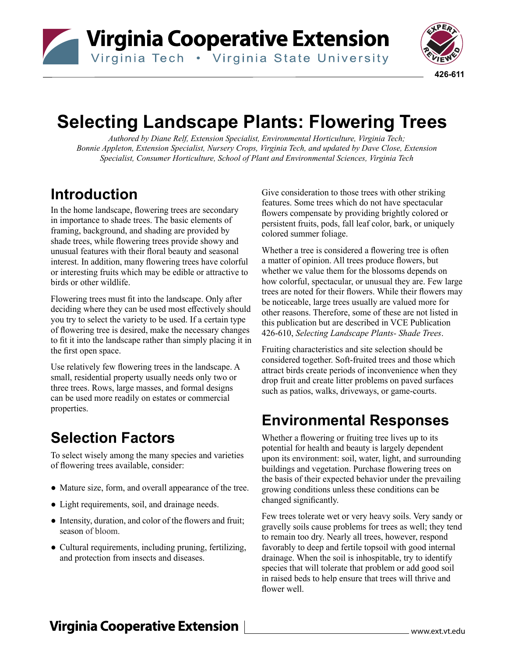Virginia Cooperative Extension

Virginia Tech . Virginia State University



# **Selecting Landscape Plants: Flowering Trees**

*Authored by Diane Relf, Extension Specialist, Environmental Horticulture, Virginia Tech; Bonnie Appleton, Extension Specialist, Nursery Crops, Virginia Tech, and updated by Dave Close, Extension Specialist, Consumer Horticulture, School of Plant and Environmental Sciences, Virginia Tech*

## **Introduction**

In the home landscape, flowering trees are secondary in importance to shade trees. The basic elements of framing, background, and shading are provided by shade trees, while flowering trees provide showy and unusual features with their floral beauty and seasonal interest. In addition, many flowering trees have colorful or interesting fruits which may be edible or attractive to birds or other wildlife.

Flowering trees must fit into the landscape. Only after deciding where they can be used most effectively should you try to select the variety to be used. If a certain type of flowering tree is desired, make the necessary changes to fit it into the landscape rather than simply placing it in the first open space.

Use relatively few flowering trees in the landscape. A small, residential property usually needs only two or three trees. Rows, large masses, and formal designs can be used more readily on estates or commercial properties.

# **Selection Factors**

To select wisely among the many species and varieties of flowering trees available, consider:

- Mature size, form, and overall appearance of the tree.
- Light requirements, soil, and drainage needs.
- Intensity, duration, and color of the flowers and fruit; season of bloom.
- Cultural requirements, including pruning, fertilizing, and protection from insects and diseases.

Give consideration to those trees with other striking features. Some trees which do not have spectacular flowers compensate by providing brightly colored or persistent fruits, pods, fall leaf color, bark, or uniquely colored summer foliage.

Whether a tree is considered a flowering tree is often a matter of opinion. All trees produce flowers, but whether we value them for the blossoms depends on how colorful, spectacular, or unusual they are. Few large trees are noted for their flowers. While their flowers may be noticeable, large trees usually are valued more for other reasons. Therefore, some of these are not listed in this publication but are described in VCE Publication 426-610, *Selecting Landscape Plants- Shade Trees*.

Fruiting characteristics and site selection should be considered together. Soft-fruited trees and those which attract birds create periods of inconvenience when they drop fruit and create litter problems on paved surfaces such as patios, walks, driveways, or game-courts.

## **Environmental Responses**

Whether a flowering or fruiting tree lives up to its potential for health and beauty is largely dependent upon its environment: soil, water, light, and surrounding buildings and vegetation. Purchase flowering trees on the basis of their expected behavior under the prevailing growing conditions unless these conditions can be changed significantly.

Few trees tolerate wet or very heavy soils. Very sandy or gravelly soils cause problems for trees as well; they tend to remain too dry. Nearly all trees, however, respond favorably to deep and fertile topsoil with good internal drainage. When the soil is inhospitable, try to identify species that will tolerate that problem or add good soil in raised beds to help ensure that trees will thrive and flower well.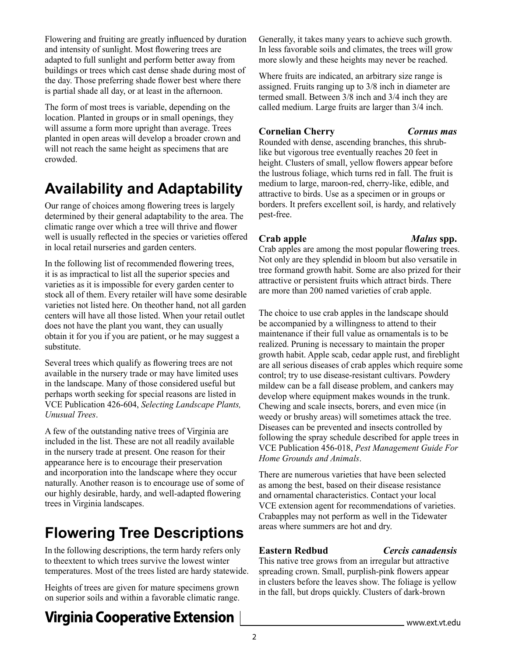Flowering and fruiting are greatly influenced by duration and intensity of sunlight. Most flowering trees are adapted to full sunlight and perform better away from buildings or trees which cast dense shade during most of the day. Those preferring shade flower best where there is partial shade all day, or at least in the afternoon.

The form of most trees is variable, depending on the location. Planted in groups or in small openings, they will assume a form more upright than average. Trees planted in open areas will develop a broader crown and will not reach the same height as specimens that are crowded.

# **Availability and Adaptability**

Our range of choices among flowering trees is largely determined by their general adaptability to the area. The climatic range over which a tree will thrive and flower well is usually reflected in the species or varieties offered in local retail nurseries and garden centers.

In the following list of recommended flowering trees, it is as impractical to list all the superior species and varieties as it is impossible for every garden center to stock all of them. Every retailer will have some desirable varieties not listed here. On theother hand, not all garden centers will have all those listed. When your retail outlet does not have the plant you want, they can usually obtain it for you if you are patient, or he may suggest a substitute.

Several trees which qualify as flowering trees are not available in the nursery trade or may have limited uses in the landscape. Many of those considered useful but perhaps worth seeking for special reasons are listed in VCE Publication 426-604, *Selecting Landscape Plants, Unusual Trees*.

A few of the outstanding native trees of Virginia are included in the list. These are not all readily available in the nursery trade at present. One reason for their appearance here is to encourage their preservation and incorporation into the landscape where they occur naturally. Another reason is to encourage use of some of our highly desirable, hardy, and well-adapted flowering trees in Virginia landscapes.

# **Flowering Tree Descriptions**

In the following descriptions, the term hardy refers only to the extent to which trees survive the lowest winter temperatures. Most of the trees listed are hardy statewide.

Heights of trees are given for mature specimens grown on superior soils and within a favorable climatic range.

## **Virginia Cooperative Extension**

Generally, it takes many years to achieve such growth. In less favorable soils and climates, the trees will grow more slowly and these heights may never be reached.

Where fruits are indicated, an arbitrary size range is assigned. Fruits ranging up to 3/8 inch in diameter are termed small. Between 3/8 inch and 3/4 inch they are called medium. Large fruits are larger than 3/4 inch.

### **Cornelian Cherry** *Cornus mas*

Rounded with dense, ascending branches, this shrublike but vigorous tree eventually reaches 20 feet in height. Clusters of small, yellow flowers appear before the lustrous foliage, which turns red in fall. The fruit is medium to large, maroon-red, cherry-like, edible, and attractive to birds. Use as a specimen or in groups or borders. It prefers excellent soil, is hardy, and relatively pest-free.

## **Crab apple** *Malus* **spp.**

Crab apples are among the most popular flowering trees. Not only are they splendid in bloom but also versatile in tree form and growth habit. Some are also prized for their attractive or persistent fruits which attract birds. There are more than 200 named varieties of crab apple.

The choice to use crab apples in the landscape should be accompanied by a willingness to attend to their maintenance if their full value as ornamentals is to be realized. Pruning is necessary to maintain the proper growth habit. Apple scab, cedar apple rust, and fireblight are all serious diseases of crab apples which require some control; try to use disease-resistant cultivars. Powdery mildew can be a fall disease problem, and cankers may develop where equipment makes wounds in the trunk. Chewing and scale insects, borers, and even mice (in weedy or brushy areas) will sometimes attack the tree. Diseases can be prevented and insects controlled by following the spray schedule described for apple trees in VCE Publication 456-018, *Pest Management Guide For Home Grounds and Animals*.

There are numerous varieties that have been selected as among the best, based on their disease resistance and ornamental characteristics. Contact your local VCE extension agent for recommendations of varieties. Crabapples may not perform as well in the Tidewater areas where summers are hot and dry.

## **Eastern Redbud** *Cercis canadensis*

This native tree grows from an irregular but attractive spreading crown. Small, purplish-pink flowers appear in clusters before the leaves show. The foliage is yellow in the fall, but drops quickly. Clusters of dark-brown

#### www.ext.vt.edu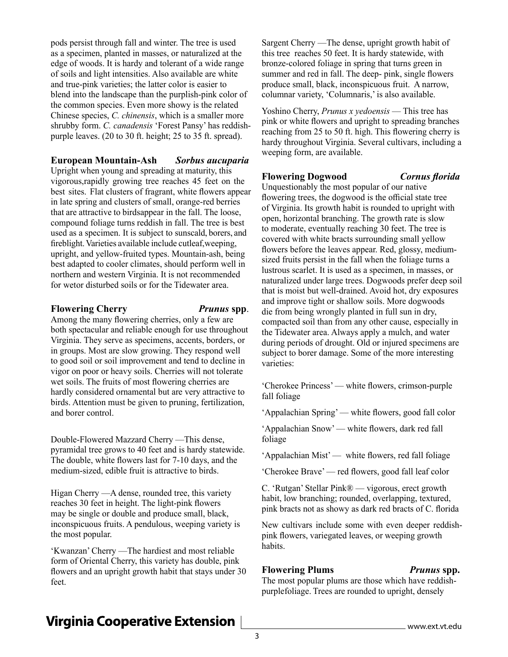pods persist through fall and winter. The tree is used as a specimen, planted in masses, or naturalized at the edge of woods. It is hardy and tolerant of a wide range of soils and light intensities. Also available are white and true-pink varieties; the latter color is easier to blend into the landscape than the purplish-pink color of the common species. Even more showy is the related Chinese species, *C. chinensis*, which is a smaller more shrubby form. *C. canadensis* 'Forest Pansy' has reddishpurple leaves. (20 to 30 ft. height; 25 to 35 ft. spread).

#### **European Mountain-Ash** *Sorbus aucuparia*

Upright when young and spreading at maturity, this vigorous, rapidly growing tree reaches 45 feet on the best sites. Flat clusters of fragrant, white flowers appear in late spring and clusters of small, orange-red berries that are attractive to birds appear in the fall. The loose, compound foliage turns reddish in fall. The tree is best used as a specimen. It is subject to sunscald, borers, and fireblight. Varieties available include cutleaf, weeping, upright, and yellow-fruited types. Mountain-ash, being best adapted to cooler climates, should perform well in northern and western Virginia. It is not recommended for wetor disturbed soils or for the Tidewater area.

#### **Flowering Cherry** *Prunus* **spp**.

Among the many flowering cherries, only a few are both spectacular and reliable enough for use throughout Virginia. They serve as specimens, accents, borders, or in groups. Most are slow growing. They respond well to good soil or soil improvement and tend to decline in vigor on poor or heavy soils. Cherries will not tolerate wet soils. The fruits of most flowering cherries are hardly considered ornamental but are very attractive to birds. Attention must be given to pruning, fertilization, and borer control.

Double-Flowered Mazzard Cherry —This dense, pyramidal tree grows to 40 feet and is hardy statewide. The double, white flowers last for 7-10 days, and the medium-sized, edible fruit is attractive to birds.

Higan Cherry —A dense, rounded tree, this variety reaches 30 feet in height. The light-pink flowers may be single or double and produce small, black, inconspicuous fruits. A pendulous, weeping variety is the most popular.

'Kwanzan' Cherry —The hardiest and most reliable form of Oriental Cherry, this variety has double, pink flowers and an upright growth habit that stays under 30 feet.

Sargent Cherry —The dense, upright growth habit of this tree reaches 50 feet. It is hardy statewide, with bronze-colored foliage in spring that turns green in summer and red in fall. The deep- pink, single flowers produce small, black, inconspicuous fruit. A narrow, columnar variety, 'Columnaris,' is also available.

Yoshino Cherry, *Prunus x yedoensis* — This tree has pink or white flowers and upright to spreading branches reaching from 25 to 50 ft. high. This flowering cherry is hardy throughout Virginia. Several cultivars, including a weeping form, are available.

#### **Flowering Dogwood** *Cornus florida*

Unquestionably the most popular of our native flowering trees, the dogwood is the official state tree of Virginia. Its growth habit is rounded to upright with open, horizontal branching. The growth rate is slow to moderate, eventually reaching 30 feet. The tree is covered with white bracts surrounding small yellow flowers before the leaves appear. Red, glossy, mediumsized fruits persist in the fall when the foliage turns a lustrous scarlet. It is used as a specimen, in masses, or naturalized under large trees. Dogwoods prefer deep soil that is moist but well-drained. Avoid hot, dry exposures and improve tight or shallow soils. More dogwoods die from being wrongly planted in full sun in dry, compacted soil than from any other cause, especially in the Tidewater area. Always apply a mulch, and water during periods of drought. Old or injured specimens are subject to borer damage. Some of the more interesting varieties:

'Cherokee Princess' — white flowers, crimson-purple fall foliage

'Appalachian Spring' — white flowers, good fall color

'Appalachian Snow' — white flowers, dark red fall foliage

'Appalachian Mist' — white flowers, red fall foliage

'Cherokee Brave' — red flowers, good fall leaf color

C. 'Rutgan' Stellar Pink® — vigorous, erect growth habit, low branching; rounded, overlapping, textured, pink bracts not as showy as dark red bracts of C. florida

New cultivars include some with even deeper reddishpink flowers, variegated leaves, or weeping growth habits.

## **Flowering Plums** *Prunus* **spp.**

The most popular plums are those which have reddishpurple foliage. Trees are rounded to upright, densely

## **Virginia Cooperative Extension**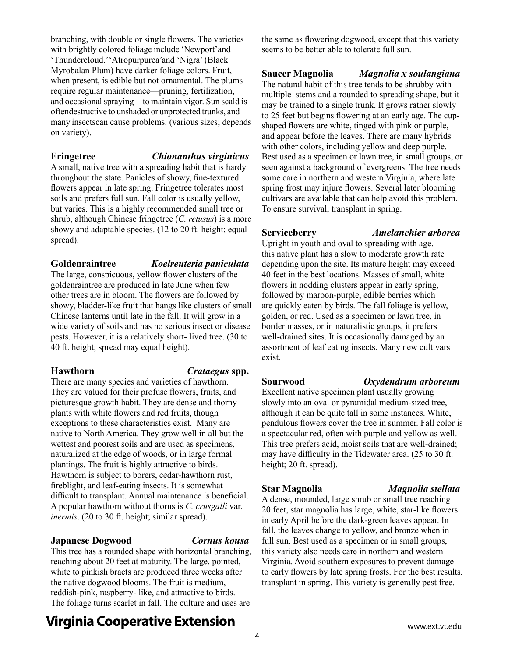branching, with double or single flowers. The varieties with brightly colored foliage include 'Newport' and 'Thundercloud.''Atropurpurea' and 'Nigra' (Black Myrobalan Plum) have darker foliage colors. Fruit, when present, is edible but not ornamental. The plums require regular maintenance—pruning, fertilization, and occasional spraying—to maintain vigor. Sun scald is often destructive to unshaded or unprotected trunks, and many insects can cause problems. (various sizes; depends on variety).

### **Fringetree** *Chionanthus virginicus*

A small, native tree with a spreading habit that is hardy throughout the state. Panicles of showy, fine-textured flowers appear in late spring. Fringetree tolerates most soils and prefers full sun. Fall color is usually yellow, but varies. This is a highly recommended small tree or shrub, although Chinese fringetree (*C. retusus*) is a more showy and adaptable species. (12 to 20 ft. height; equal spread).

#### **Goldenraintree** *Koelreuteria paniculata*

The large, conspicuous, yellow flower clusters of the goldenraintree are produced in late June when few other trees are in bloom. The flowers are followed by showy, bladder-like fruit that hangs like clusters of small Chinese lanterns until late in the fall. It will grow in a wide variety of soils and has no serious insect or disease pests. However, it is a relatively short- lived tree. (30 to 40 ft. height; spread may equal height).

## **Hawthorn** *Crataegus* **spp.**

There are many species and varieties of hawthorn. They are valued for their profuse flowers, fruits, and picturesque growth habit. They are dense and thorny plants with white flowers and red fruits, though exceptions to these characteristics exist. Many are native to North America. They grow well in all but the wettest and poorest soils and are used as specimens, naturalized at the edge of woods, or in large formal plantings. The fruit is highly attractive to birds. Hawthorn is subject to borers, cedar-hawthorn rust, fireblight, and leaf-eating insects. It is somewhat difficult to transplant. Annual maintenance is beneficial. A popular hawthorn without thorns is *C. crusgalli* var. *inermis*. (20 to 30 ft. height; similar spread).

## **Japanese Dogwood** *Cornus kousa*

This tree has a rounded shape with horizontal branching, reaching about 20 feet at maturity. The large, pointed, white to pinkish bracts are produced three weeks after the native dogwood blooms. The fruit is medium, reddish-pink, raspberry- like, and attractive to birds. The foliage turns scarlet in fall. The culture and uses are

the same as flowering dogwood, except that this variety seems to be better able to tolerate full sun.

**Saucer Magnolia** *Magnolia x soulangiana* 

The natural habit of this tree tends to be shrubby with multiple stems and a rounded to spreading shape, but it may be trained to a single trunk. It grows rather slowly to 25 feet but begins flowering at an early age. The cupshaped flowers are white, tinged with pink or purple, and appear before the leaves. There are many hybrids with other colors, including yellow and deep purple. Best used as a specimen or lawn tree, in small groups, or seen against a background of evergreens. The tree needs some care in northern and western Virginia, where late spring frost may injure flowers. Several later blooming cultivars are available that can help avoid this problem. To ensure survival, transplant in spring.

**Serviceberry** *Amelanchier arborea*

Upright in youth and oval to spreading with age, this native plant has a slow to moderate growth rate depending upon the site. Its mature height may exceed 40 feet in the best locations. Masses of small, white flowers in nodding clusters appear in early spring, followed by maroon-purple, edible berries which are quickly eaten by birds. The fall foliage is yellow, golden, or red. Used as a specimen or lawn tree, in border masses, or in naturalistic groups, it prefers well-drained sites. It is occasionally damaged by an assortment of leaf eating insects. Many new cultivars exist.

## **Sourwood** *Oxydendrum arboreum*

#### Excellent native specimen plant usually growing slowly into an oval or pyramidal medium-sized tree, although it can be quite tall in some instances. White, pendulous flowers cover the tree in summer. Fall color is a spectacular red, often with purple and yellow as well. This tree prefers acid, moist soils that are well-drained; may have difficulty in the Tidewater area. (25 to 30 ft. height; 20 ft. spread).

A dense, mounded, large shrub or small tree reaching 20 feet, star magnolia has large, white, star-like flowers in early April before the dark-green leaves appear. In fall, the leaves change to yellow, and bronze when in full sun. Best used as a specimen or in small groups, this variety also needs care in northern and western Virginia. Avoid southern exposures to prevent damage to early flowers by late spring frosts. For the best results, transplant in spring. This variety is generally pest free.

## **Virginia Cooperative Extension**

**Star Magnolia** *Magnolia stellata*